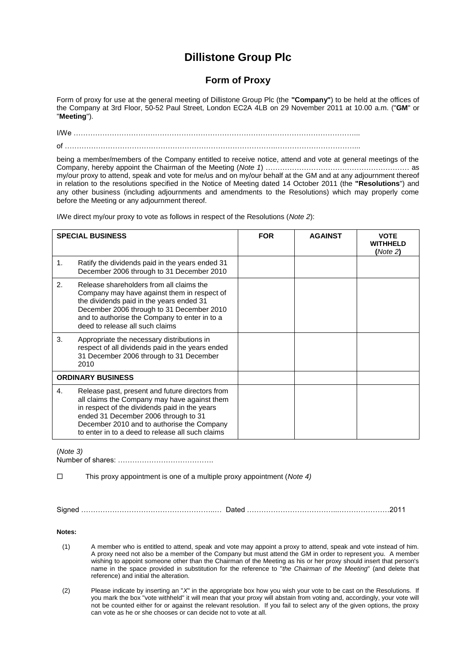## **Dillistone Group Plc**

## **Form of Proxy**

Form of proxy for use at the general meeting of Dillistone Group Plc (the **"Company"**) to be held at the offices of the Company at 3rd Floor, 50-52 Paul Street, London EC2A 4LB on 29 November 2011 at 10.00 a.m. ("**GM**" or "**Meeting**").

I/We ………………………………………………………………………………………………………...  $\mathsf{d}$ 

being a member/members of the Company entitled to receive notice, attend and vote at general meetings of the Company, hereby appoint the Chairman of the Meeting (*Note 1*) …………………………………………………… as my/our proxy to attend, speak and vote for me/us and on my/our behalf at the GM and at any adjournment thereof in relation to the resolutions specified in the Notice of Meeting dated 14 October 2011 (the **"Resolutions**") and any other business (including adjournments and amendments to the Resolutions) which may properly come before the Meeting or any adjournment thereof.

**SPECIAL BUSINESS FOR AGAINST VOTE WITHHELD (***Note 2***)** 1. Ratify the dividends paid in the years ended 31 December 2006 through to 31 December 2010 2. Release shareholders from all claims the Company may have against them in respect of the dividends paid in the years ended 31 December 2006 through to 31 December 2010 and to authorise the Company to enter in to a deed to release all such claims 3. Appropriate the necessary distributions in respect of all dividends paid in the years ended 31 December 2006 through to 31 December 2010 **ORDINARY BUSINESS** 4. Release past, present and future directors from all claims the Company may have against them in respect of the dividends paid in the years ended 31 December 2006 through to 31 December 2010 and to authorise the Company to enter in to a deed to release all such claims

I/We direct my/our proxy to vote as follows in respect of the Resolutions (*Note 2*):

(*Note 3)*

Number of shares: ………………………………….

This proxy appointment is one of a multiple proxy appointment (*Note 4)*

Signed ………………………………………………..… Dated ………………………………...…………………2011

**Notes:**

- (1) A member who is entitled to attend, speak and vote may appoint a proxy to attend, speak and vote instead of him. A proxy need not also be a member of the Company but must attend the GM in order to represent you. A member wishing to appoint someone other than the Chairman of the Meeting as his or her proxy should insert that person's name in the space provided in substitution for the reference to "*the Chairman of the Meeting*" (and delete that reference) and initial the alteration.
- (2) Please indicate by inserting an "*X*" in the appropriate box how you wish your vote to be cast on the Resolutions. If you mark the box "vote withheld" it will mean that your proxy will abstain from voting and, accordingly, your vote will not be counted either for or against the relevant resolution. If you fail to select any of the given options, the proxy can vote as he or she chooses or can decide not to vote at all.